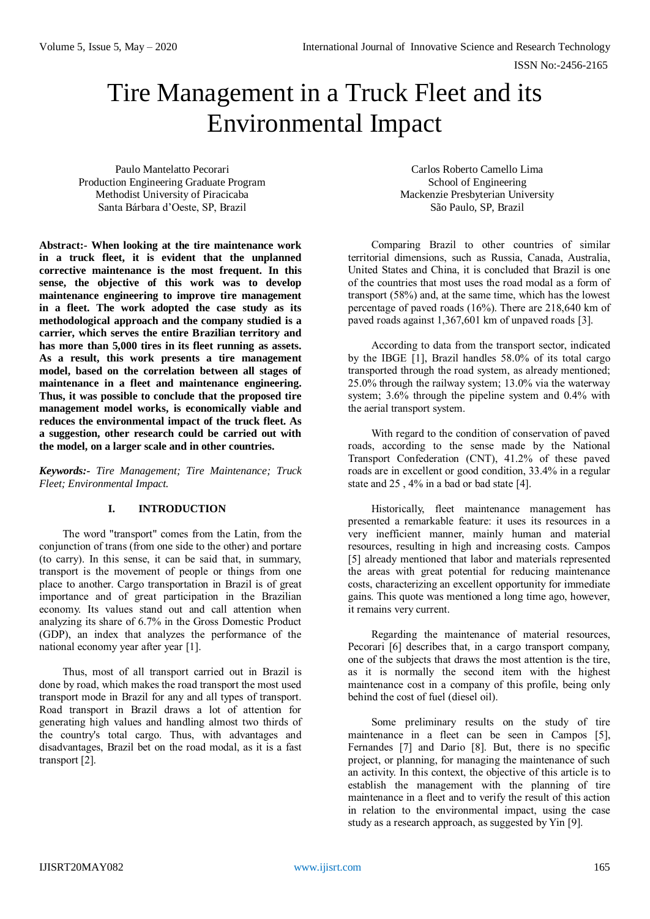# Tire Management in a Truck Fleet and its Environmental Impact

Paulo Mantelatto Pecorari Production Engineering Graduate Program Methodist University of Piracicaba Santa Bárbara d'Oeste, SP, Brazil

**Abstract:- When looking at the tire maintenance work in a truck fleet, it is evident that the unplanned corrective maintenance is the most frequent. In this sense, the objective of this work was to develop maintenance engineering to improve tire management in a fleet. The work adopted the case study as its methodological approach and the company studied is a carrier, which serves the entire Brazilian territory and has more than 5,000 tires in its fleet running as assets. As a result, this work presents a tire management model, based on the correlation between all stages of maintenance in a fleet and maintenance engineering. Thus, it was possible to conclude that the proposed tire management model works, is economically viable and reduces the environmental impact of the truck fleet. As a suggestion, other research could be carried out with the model, on a larger scale and in other countries.** 

*Keywords:- Tire Management; Tire Maintenance; Truck Fleet; Environmental Impact.*

# **I. INTRODUCTION**

The word "transport" comes from the Latin, from the conjunction of trans (from one side to the other) and portare (to carry). In this sense, it can be said that, in summary, transport is the movement of people or things from one place to another. Cargo transportation in Brazil is of great importance and of great participation in the Brazilian economy. Its values stand out and call attention when analyzing its share of 6.7% in the Gross Domestic Product (GDP), an index that analyzes the performance of the national economy year after year [1].

Thus, most of all transport carried out in Brazil is done by road, which makes the road transport the most used transport mode in Brazil for any and all types of transport. Road transport in Brazil draws a lot of attention for generating high values and handling almost two thirds of the country's total cargo. Thus, with advantages and disadvantages, Brazil bet on the road modal, as it is a fast transport [2].

Carlos Roberto Camello Lima School of Engineering Mackenzie Presbyterian University São Paulo, SP, Brazil

Comparing Brazil to other countries of similar territorial dimensions, such as Russia, Canada, Australia, United States and China, it is concluded that Brazil is one of the countries that most uses the road modal as a form of transport (58%) and, at the same time, which has the lowest percentage of paved roads (16%). There are 218,640 km of paved roads against 1,367,601 km of unpaved roads [3].

According to data from the transport sector, indicated by the IBGE [1], Brazil handles 58.0% of its total cargo transported through the road system, as already mentioned; 25.0% through the railway system; 13.0% via the waterway system; 3.6% through the pipeline system and 0.4% with the aerial transport system.

With regard to the condition of conservation of paved roads, according to the sense made by the National Transport Confederation (CNT), 41.2% of these paved roads are in excellent or good condition, 33.4% in a regular state and 25 , 4% in a bad or bad state [4].

Historically, fleet maintenance management has presented a remarkable feature: it uses its resources in a very inefficient manner, mainly human and material resources, resulting in high and increasing costs. Campos [5] already mentioned that labor and materials represented the areas with great potential for reducing maintenance costs, characterizing an excellent opportunity for immediate gains. This quote was mentioned a long time ago, however, it remains very current.

Regarding the maintenance of material resources, Pecorari [6] describes that, in a cargo transport company, one of the subjects that draws the most attention is the tire, as it is normally the second item with the highest maintenance cost in a company of this profile, being only behind the cost of fuel (diesel oil).

Some preliminary results on the study of tire maintenance in a fleet can be seen in Campos [5], Fernandes [7] and Dario [8]. But, there is no specific project, or planning, for managing the maintenance of such an activity. In this context, the objective of this article is to establish the management with the planning of tire maintenance in a fleet and to verify the result of this action in relation to the environmental impact, using the case study as a research approach, as suggested by Yin [9].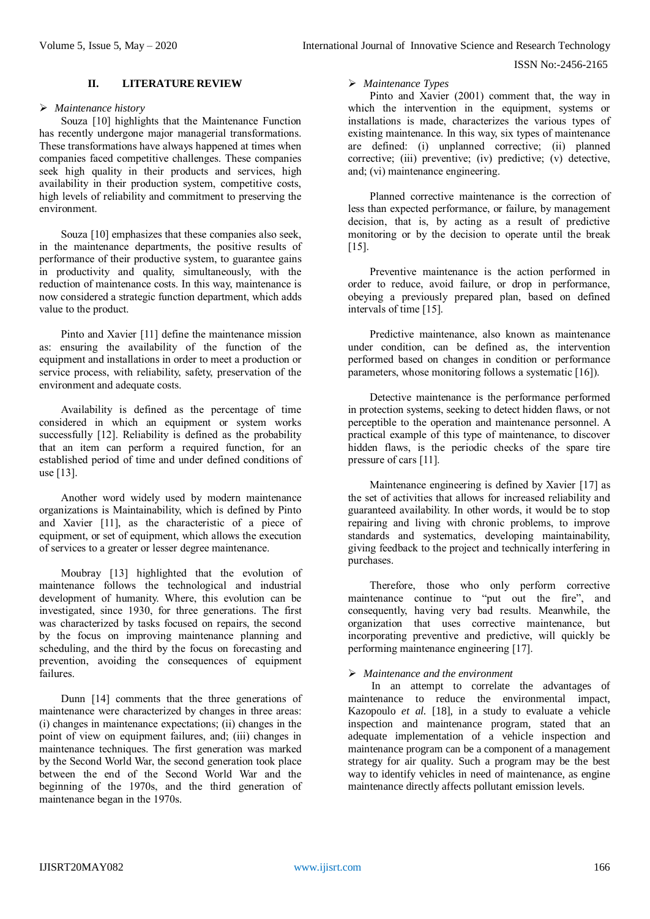#### ISSN No:-2456-2165

#### **II. LITERATURE REVIEW**

#### *Maintenance history*

Souza [10] highlights that the Maintenance Function has recently undergone major managerial transformations. These transformations have always happened at times when companies faced competitive challenges. These companies seek high quality in their products and services, high availability in their production system, competitive costs, high levels of reliability and commitment to preserving the environment.

Souza [10] emphasizes that these companies also seek, in the maintenance departments, the positive results of performance of their productive system, to guarantee gains in productivity and quality, simultaneously, with the reduction of maintenance costs. In this way, maintenance is now considered a strategic function department, which adds value to the product.

Pinto and Xavier [11] define the maintenance mission as: ensuring the availability of the function of the equipment and installations in order to meet a production or service process, with reliability, safety, preservation of the environment and adequate costs.

Availability is defined as the percentage of time considered in which an equipment or system works successfully [12]. Reliability is defined as the probability that an item can perform a required function, for an established period of time and under defined conditions of use [13].

Another word widely used by modern maintenance organizations is Maintainability, which is defined by Pinto and Xavier [11], as the characteristic of a piece of equipment, or set of equipment, which allows the execution of services to a greater or lesser degree maintenance.

Moubray [13] highlighted that the evolution of maintenance follows the technological and industrial development of humanity. Where, this evolution can be investigated, since 1930, for three generations. The first was characterized by tasks focused on repairs, the second by the focus on improving maintenance planning and scheduling, and the third by the focus on forecasting and prevention, avoiding the consequences of equipment failures.

Dunn [14] comments that the three generations of maintenance were characterized by changes in three areas: (i) changes in maintenance expectations; (ii) changes in the point of view on equipment failures, and; (iii) changes in maintenance techniques. The first generation was marked by the Second World War, the second generation took place between the end of the Second World War and the beginning of the 1970s, and the third generation of maintenance began in the 1970s.

#### *Maintenance Types*

Pinto and Xavier (2001) comment that, the way in which the intervention in the equipment, systems or installations is made, characterizes the various types of existing maintenance. In this way, six types of maintenance are defined: (i) unplanned corrective; (ii) planned corrective; (iii) preventive; (iv) predictive; (v) detective, and; (vi) maintenance engineering.

Planned corrective maintenance is the correction of less than expected performance, or failure, by management decision, that is, by acting as a result of predictive monitoring or by the decision to operate until the break [15].

Preventive maintenance is the action performed in order to reduce, avoid failure, or drop in performance, obeying a previously prepared plan, based on defined intervals of time [15].

Predictive maintenance, also known as maintenance under condition, can be defined as, the intervention performed based on changes in condition or performance parameters, whose monitoring follows a systematic [16]).

Detective maintenance is the performance performed in protection systems, seeking to detect hidden flaws, or not perceptible to the operation and maintenance personnel. A practical example of this type of maintenance, to discover hidden flaws, is the periodic checks of the spare tire pressure of cars [11].

Maintenance engineering is defined by Xavier [17] as the set of activities that allows for increased reliability and guaranteed availability. In other words, it would be to stop repairing and living with chronic problems, to improve standards and systematics, developing maintainability, giving feedback to the project and technically interfering in purchases.

Therefore, those who only perform corrective maintenance continue to "put out the fire", and consequently, having very bad results. Meanwhile, the organization that uses corrective maintenance, but incorporating preventive and predictive, will quickly be performing maintenance engineering [17].

## *Maintenance and the environment*

In an attempt to correlate the advantages of maintenance to reduce the environmental impact, Kazopoulo *et al.* [18], in a study to evaluate a vehicle inspection and maintenance program, stated that an adequate implementation of a vehicle inspection and maintenance program can be a component of a management strategy for air quality. Such a program may be the best way to identify vehicles in need of maintenance, as engine maintenance directly affects pollutant emission levels.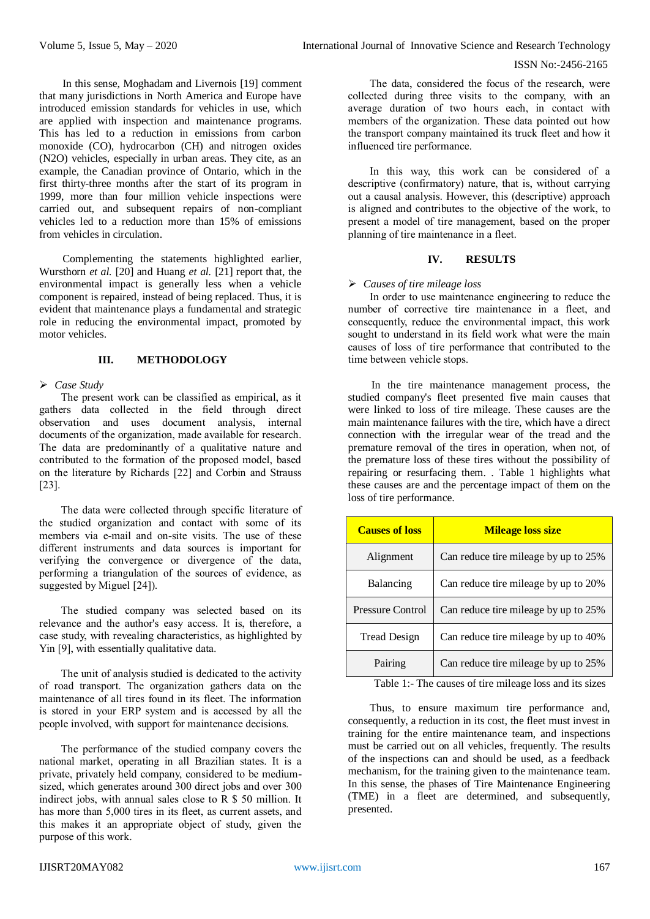#### ISSN No:-2456-2165

In this sense, Moghadam and Livernois [19] comment that many jurisdictions in North America and Europe have introduced emission standards for vehicles in use, which are applied with inspection and maintenance programs. This has led to a reduction in emissions from carbon monoxide (CO), hydrocarbon (CH) and nitrogen oxides (N2O) vehicles, especially in urban areas. They cite, as an example, the Canadian province of Ontario, which in the first thirty-three months after the start of its program in 1999, more than four million vehicle inspections were carried out, and subsequent repairs of non-compliant vehicles led to a reduction more than 15% of emissions from vehicles in circulation.

Complementing the statements highlighted earlier, Wursthorn *et al.* [20] and Huang *et al.* [21] report that, the environmental impact is generally less when a vehicle component is repaired, instead of being replaced. Thus, it is evident that maintenance plays a fundamental and strategic role in reducing the environmental impact, promoted by motor vehicles.

# **III. METHODOLOGY**

## *Case Study*

The present work can be classified as empirical, as it gathers data collected in the field through direct observation and uses document analysis, internal documents of the organization, made available for research. The data are predominantly of a qualitative nature and contributed to the formation of the proposed model, based on the literature by Richards [22] and Corbin and Strauss [23].

The data were collected through specific literature of the studied organization and contact with some of its members via e-mail and on-site visits. The use of these different instruments and data sources is important for verifying the convergence or divergence of the data, performing a triangulation of the sources of evidence, as suggested by Miguel [24]).

The studied company was selected based on its relevance and the author's easy access. It is, therefore, a case study, with revealing characteristics, as highlighted by Yin [9], with essentially qualitative data.

The unit of analysis studied is dedicated to the activity of road transport. The organization gathers data on the maintenance of all tires found in its fleet. The information is stored in your ERP system and is accessed by all the people involved, with support for maintenance decisions.

The performance of the studied company covers the national market, operating in all Brazilian states. It is a private, privately held company, considered to be mediumsized, which generates around 300 direct jobs and over 300 indirect jobs, with annual sales close to R \$ 50 million. It has more than 5,000 tires in its fleet, as current assets, and this makes it an appropriate object of study, given the purpose of this work.

The data, considered the focus of the research, were collected during three visits to the company, with an average duration of two hours each, in contact with members of the organization. These data pointed out how the transport company maintained its truck fleet and how it influenced tire performance.

In this way, this work can be considered of a descriptive (confirmatory) nature, that is, without carrying out a causal analysis. However, this (descriptive) approach is aligned and contributes to the objective of the work, to present a model of tire management, based on the proper planning of tire maintenance in a fleet.

## **IV. RESULTS**

## *Causes of tire mileage loss*

In order to use maintenance engineering to reduce the number of corrective tire maintenance in a fleet, and consequently, reduce the environmental impact, this work sought to understand in its field work what were the main causes of loss of tire performance that contributed to the time between vehicle stops.

In the tire maintenance management process, the studied company's fleet presented five main causes that were linked to loss of tire mileage. These causes are the main maintenance failures with the tire, which have a direct connection with the irregular wear of the tread and the premature removal of the tires in operation, when not, of the premature loss of these tires without the possibility of repairing or resurfacing them. . Table 1 highlights what these causes are and the percentage impact of them on the loss of tire performance.

| <b>Causes of loss</b>   | <b>Mileage loss size</b>             |  |
|-------------------------|--------------------------------------|--|
| Alignment               | Can reduce tire mileage by up to 25% |  |
| Balancing               | Can reduce tire mileage by up to 20% |  |
| <b>Pressure Control</b> | Can reduce tire mileage by up to 25% |  |
| Tread Design            | Can reduce tire mileage by up to 40% |  |
| Pairing                 | Can reduce tire mileage by up to 25% |  |

Table 1:- The causes of tire mileage loss and its sizes

Thus, to ensure maximum tire performance and, consequently, a reduction in its cost, the fleet must invest in training for the entire maintenance team, and inspections must be carried out on all vehicles, frequently. The results of the inspections can and should be used, as a feedback mechanism, for the training given to the maintenance team. In this sense, the phases of Tire Maintenance Engineering (TME) in a fleet are determined, and subsequently, presented.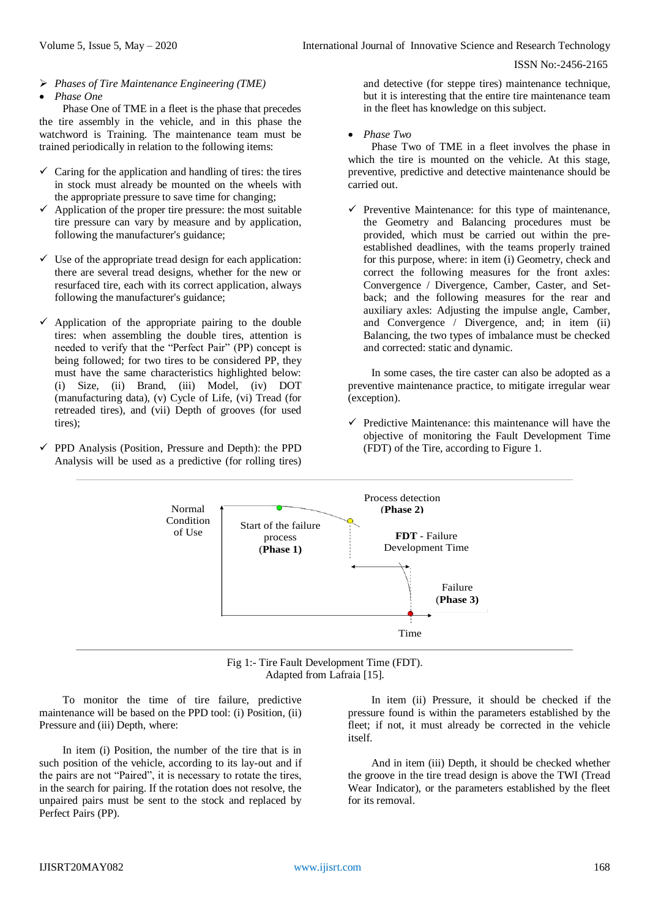- *Phases of Tire Maintenance Engineering (TME)*
- *Phase One*

Phase One of TME in a fleet is the phase that precedes the tire assembly in the vehicle, and in this phase the watchword is Training. The maintenance team must be trained periodically in relation to the following items:

- $\checkmark$  Caring for the application and handling of tires: the tires in stock must already be mounted on the wheels with the appropriate pressure to save time for changing;
- $\checkmark$  Application of the proper tire pressure: the most suitable tire pressure can vary by measure and by application, following the manufacturer's guidance;
- $\checkmark$  Use of the appropriate tread design for each application: there are several tread designs, whether for the new or resurfaced tire, each with its correct application, always following the manufacturer's guidance;
- $\checkmark$  Application of the appropriate pairing to the double tires: when assembling the double tires, attention is needed to verify that the "Perfect Pair" (PP) concept is being followed; for two tires to be considered PP, they must have the same characteristics highlighted below: (i) Size, (ii) Brand, (iii) Model, (iv) DOT (manufacturing data), (v) Cycle of Life, (vi) Tread (for retreaded tires), and (vii) Depth of grooves (for used tires);
- $\checkmark$  PPD Analysis (Position, Pressure and Depth): the PPD Analysis will be used as a predictive (for rolling tires)

and detective (for steppe tires) maintenance technique, but it is interesting that the entire tire maintenance team in the fleet has knowledge on this subject.

*Phase Two*

Phase Two of TME in a fleet involves the phase in which the tire is mounted on the vehicle. At this stage, preventive, predictive and detective maintenance should be carried out.

 $\checkmark$  Preventive Maintenance: for this type of maintenance, the Geometry and Balancing procedures must be provided, which must be carried out within the preestablished deadlines, with the teams properly trained for this purpose, where: in item (i) Geometry, check and correct the following measures for the front axles: Convergence / Divergence, Camber, Caster, and Setback; and the following measures for the rear and auxiliary axles: Adjusting the impulse angle, Camber, and Convergence / Divergence, and; in item (ii) Balancing, the two types of imbalance must be checked and corrected: static and dynamic.

In some cases, the tire caster can also be adopted as a preventive maintenance practice, to mitigate irregular wear (exception).

 $\checkmark$  Predictive Maintenance: this maintenance will have the objective of monitoring the Fault Development Time (FDT) of the Tire, according to Figure 1.



Fig 1:- Tire Fault Development Time (FDT). Adapted from Lafraia [15].

To monitor the time of tire failure, predictive maintenance will be based on the PPD tool: (i) Position, (ii) Pressure and (iii) Depth, where:

In item (i) Position, the number of the tire that is in such position of the vehicle, according to its lay-out and if the pairs are not "Paired", it is necessary to rotate the tires, in the search for pairing. If the rotation does not resolve, the unpaired pairs must be sent to the stock and replaced by Perfect Pairs (PP).

In item (ii) Pressure, it should be checked if the pressure found is within the parameters established by the fleet; if not, it must already be corrected in the vehicle itself.

And in item (iii) Depth, it should be checked whether the groove in the tire tread design is above the TWI (Tread Wear Indicator), or the parameters established by the fleet for its removal.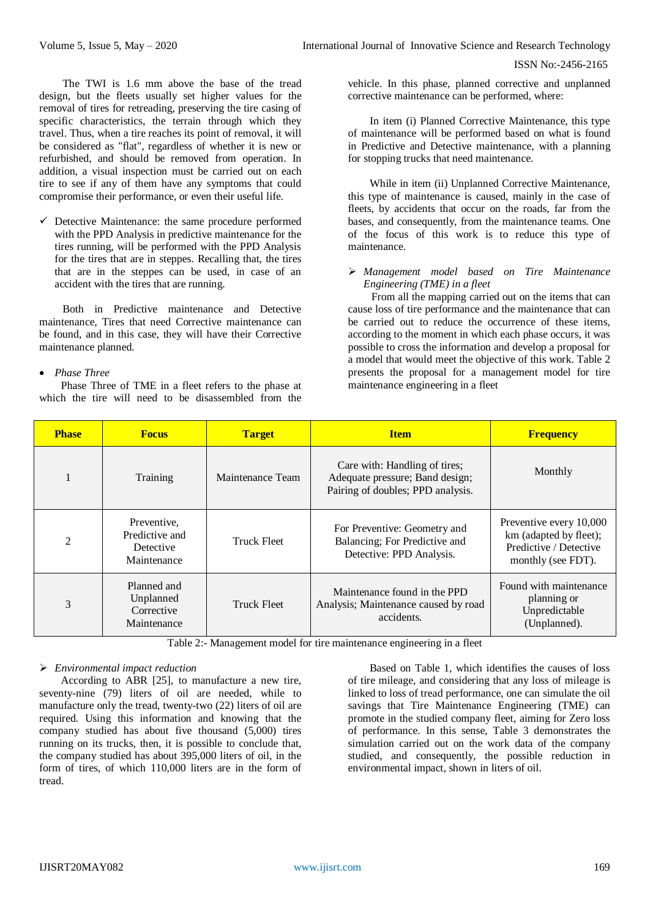The TWI is 1.6 mm above the base of the tread design, but the fleets usually set higher values for the removal of tires for retreading, preserving the tire casing of specific characteristics, the terrain through which they travel. Thus, when a tire reaches its point of removal, it will be considered as "flat", regardless of whether it is new or refurbished, and should be removed from operation. In addition, a visual inspection must be carried out on each tire to see if any of them have any symptoms that could compromise their performance, or even their useful life.

 $\checkmark$  Detective Maintenance: the same procedure performed with the PPD Analysis in predictive maintenance for the tires running, will be performed with the PPD Analysis for the tires that are in steppes. Recalling that, the tires that are in the steppes can be used, in case of an accident with the tires that are running.

Both in Predictive maintenance and Detective maintenance, Tires that need Corrective maintenance can be found, and in this case, they will have their Corrective maintenance planned.

## *Phase Three*

Phase Three of TME in a fleet refers to the phase at which the tire will need to be disassembled from the vehicle. In this phase, planned corrective and unplanned corrective maintenance can be performed, where:

In item (i) Planned Corrective Maintenance, this type of maintenance will be performed based on what is found in Predictive and Detective maintenance, with a planning for stopping trucks that need maintenance.

While in item (ii) Unplanned Corrective Maintenance, this type of maintenance is caused, mainly in the case of fleets, by accidents that occur on the roads, far from the bases, and consequently, from the maintenance teams. One of the focus of this work is to reduce this type of maintenance.

#### *Management model based on Tire Maintenance Engineering (TME) in a fleet*

From all the mapping carried out on the items that can cause loss of tire performance and the maintenance that can be carried out to reduce the occurrence of these items, according to the moment in which each phase occurs, it was possible to cross the information and develop a proposal for a model that would meet the objective of this work. Table 2 presents the proposal for a management model for tire maintenance engineering in a fleet

| <b>Phase</b>   | <b>Focus</b>                                              | <b>Target</b>      | <b>Item</b>                                                                                           | <b>Frequency</b>                                                                                  |
|----------------|-----------------------------------------------------------|--------------------|-------------------------------------------------------------------------------------------------------|---------------------------------------------------------------------------------------------------|
|                | Training                                                  | Maintenance Team   | Care with: Handling of tires;<br>Adequate pressure; Band design;<br>Pairing of doubles; PPD analysis. | Monthly                                                                                           |
| $\overline{2}$ | Preventive.<br>Predictive and<br>Detective<br>Maintenance | <b>Truck Fleet</b> | For Preventive: Geometry and<br>Balancing; For Predictive and<br>Detective: PPD Analysis.             | Preventive every 10,000<br>km (adapted by fleet);<br>Predictive / Detective<br>monthly (see FDT). |
| 3              | Planned and<br>Unplanned<br>Corrective<br>Maintenance     | Truck Fleet        | Maintenance found in the PPD<br>Analysis; Maintenance caused by road<br>accidents.                    | Found with maintenance<br>planning or<br>Unpredictable<br>(Unplanned).                            |

Table 2:- Management model for tire maintenance engineering in a fleet

# *Environmental impact reduction*

According to ABR [25], to manufacture a new tire, seventy-nine (79) liters of oil are needed, while to manufacture only the tread, twenty-two (22) liters of oil are required. Using this information and knowing that the company studied has about five thousand (5,000) tires running on its trucks, then, it is possible to conclude that, the company studied has about 395,000 liters of oil, in the form of tires, of which 110,000 liters are in the form of tread.

Based on Table 1, which identifies the causes of loss of tire mileage, and considering that any loss of mileage is linked to loss of tread performance, one can simulate the oil savings that Tire Maintenance Engineering (TME) can promote in the studied company fleet, aiming for Zero loss of performance. In this sense, Table 3 demonstrates the simulation carried out on the work data of the company studied, and consequently, the possible reduction in environmental impact, shown in liters of oil.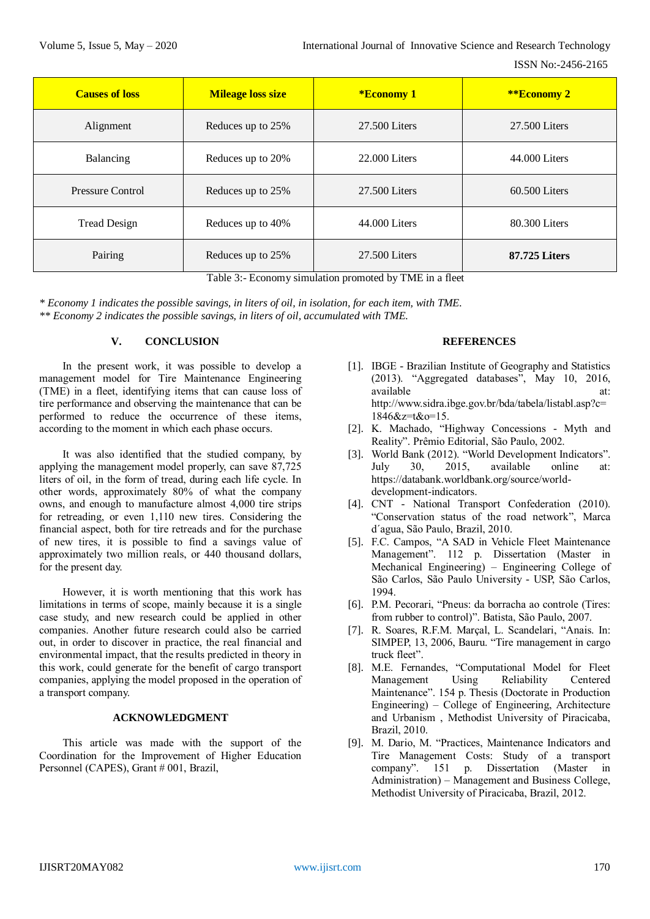| <b>Causes of loss</b> | <b>Mileage loss size</b> | <b>*Economy 1</b> | **Economy 2     |
|-----------------------|--------------------------|-------------------|-----------------|
| Alignment             | Reduces up to 25%        | 27.500 Liters     | 27.500 Liters   |
| Balancing             | Reduces up to 20%        | 22,000 Liters     | 44.000 Liters   |
| Pressure Control      | Reduces up to 25%        | 27.500 Liters     | $60.500$ Liters |
| <b>Tread Design</b>   | Reduces up to 40%        | 44.000 Liters     | 80.300 Liters   |
| Pairing               | Reduces up to 25%        | 27.500 Liters     | 87.725 Liters   |

Table 3:- Economy simulation promoted by TME in a fleet

*\* Economy 1 indicates the possible savings, in liters of oil, in isolation, for each item, with TME. \*\* Economy 2 indicates the possible savings, in liters of oil, accumulated with TME.*

# **V. CONCLUSION**

In the present work, it was possible to develop a management model for Tire Maintenance Engineering (TME) in a fleet, identifying items that can cause loss of tire performance and observing the maintenance that can be performed to reduce the occurrence of these items, according to the moment in which each phase occurs.

It was also identified that the studied company, by applying the management model properly, can save 87,725 liters of oil, in the form of tread, during each life cycle. In other words, approximately 80% of what the company owns, and enough to manufacture almost 4,000 tire strips for retreading, or even 1,110 new tires. Considering the financial aspect, both for tire retreads and for the purchase of new tires, it is possible to find a savings value of approximately two million reals, or 440 thousand dollars, for the present day.

However, it is worth mentioning that this work has limitations in terms of scope, mainly because it is a single case study, and new research could be applied in other companies. Another future research could also be carried out, in order to discover in practice, the real financial and environmental impact, that the results predicted in theory in this work, could generate for the benefit of cargo transport companies, applying the model proposed in the operation of a transport company.

### **ACKNOWLEDGMENT**

This article was made with the support of the Coordination for the Improvement of Higher Education Personnel (CAPES), Grant # 001, Brazil,

### **REFERENCES**

- [1]. IBGE Brazilian Institute of Geography and Statistics (2013). "Aggregated databases", May 10, 2016, available at: http://www.sidra.ibge.gov.br/bda/tabela/listabl.asp?c= 1846&z=t&o=15.
- [2]. K. Machado, "Highway Concessions Myth and Reality". Prêmio Editorial, São Paulo, 2002.
- [3]. World Bank (2012). "World Development Indicators". July 30, 2015, available online at: https://databank.worldbank.org/source/worlddevelopment-indicators.
- [4]. CNT National Transport Confederation (2010). "Conservation status of the road network", Marca d´agua, São Paulo, Brazil, 2010.
- [5]. F.C. Campos, "A SAD in Vehicle Fleet Maintenance Management". 112 p. Dissertation (Master in Mechanical Engineering) – Engineering College of São Carlos, São Paulo University - USP, São Carlos, 1994.
- [6]. P.M. Pecorari, "Pneus: da borracha ao controle (Tires: from rubber to control)". Batista, São Paulo, 2007.
- [7]. R. Soares, R.F.M. Marçal, L. Scandelari, "Anais. In: SIMPEP, 13, 2006, Bauru. "Tire management in cargo truck fleet".
- [8]. M.E. Fernandes, "Computational Model for Fleet Management Using Reliability Centered Maintenance". 154 p. Thesis (Doctorate in Production Engineering) – College of Engineering, Architecture and Urbanism , Methodist University of Piracicaba, Brazil, 2010.
- [9]. M. Dario, M. "Practices, Maintenance Indicators and Tire Management Costs: Study of a transport company". 151 p. Dissertation (Master in Administration) – Management and Business College, Methodist University of Piracicaba, Brazil, 2012.